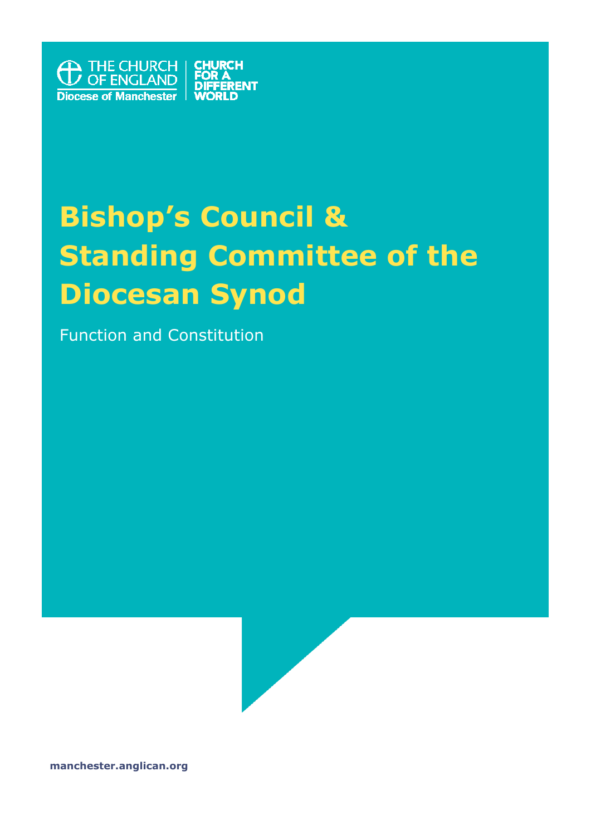

# **Bishop's Council & Standing Committee of the Diocesan Synod**

Function and Constitution



**manchester.anglican.org**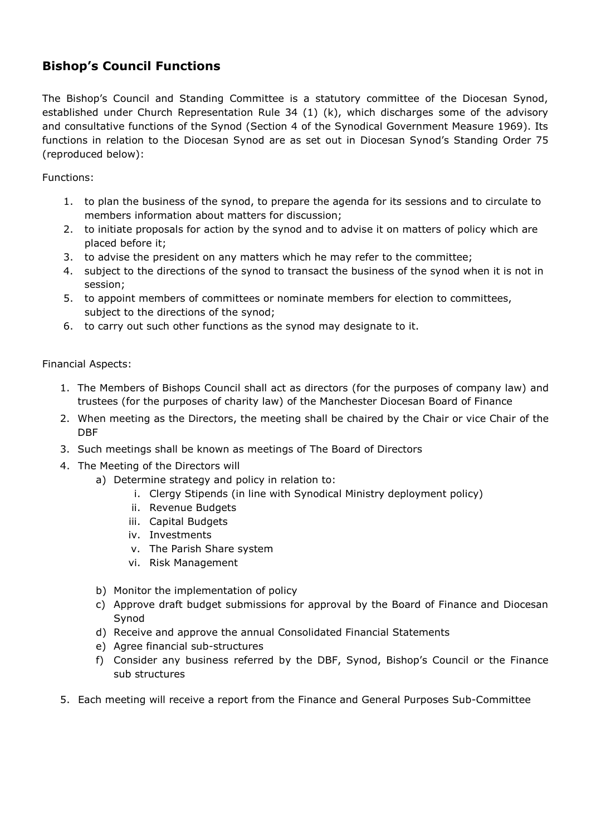## **Bishop's Council Functions**

The Bishop's Council and Standing Committee is a statutory committee of the Diocesan Synod, established under Church Representation Rule 34 (1) (k), which discharges some of the advisory and consultative functions of the Synod (Section 4 of the Synodical Government Measure 1969). Its functions in relation to the Diocesan Synod are as set out in Diocesan Synod's Standing Order 75 (reproduced below):

Functions:

- 1. to plan the business of the synod, to prepare the agenda for its sessions and to circulate to members information about matters for discussion;
- 2. to initiate proposals for action by the synod and to advise it on matters of policy which are placed before it;
- 3. to advise the president on any matters which he may refer to the committee;
- 4. subject to the directions of the synod to transact the business of the synod when it is not in session;
- 5. to appoint members of committees or nominate members for election to committees, subject to the directions of the synod;
- 6. to carry out such other functions as the synod may designate to it.

#### Financial Aspects:

- 1. The Members of Bishops Council shall act as directors (for the purposes of company law) and trustees (for the purposes of charity law) of the Manchester Diocesan Board of Finance
- 2. When meeting as the Directors, the meeting shall be chaired by the Chair or vice Chair of the DBF
- 3. Such meetings shall be known as meetings of The Board of Directors
- 4. The Meeting of the Directors will
	- a) Determine strategy and policy in relation to:
		- i. Clergy Stipends (in line with Synodical Ministry deployment policy)
		- ii. Revenue Budgets
		- iii. Capital Budgets
		- iv. Investments
		- v. The Parish Share system
		- vi. Risk Management
	- b) Monitor the implementation of policy
	- c) Approve draft budget submissions for approval by the Board of Finance and Diocesan Synod
	- d) Receive and approve the annual Consolidated Financial Statements
	- e) Agree financial sub-structures
	- f) Consider any business referred by the DBF, Synod, Bishop's Council or the Finance sub structures
- 5. Each meeting will receive a report from the Finance and General Purposes Sub-Committee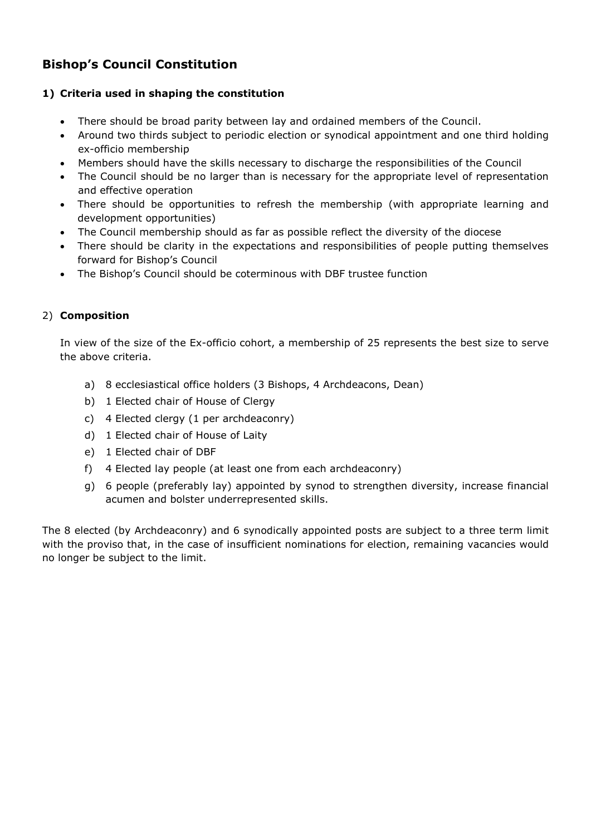## **Bishop's Council Constitution**

#### **1) Criteria used in shaping the constitution**

- There should be broad parity between lay and ordained members of the Council.
- Around two thirds subject to periodic election or synodical appointment and one third holding ex-officio membership
- Members should have the skills necessary to discharge the responsibilities of the Council
- The Council should be no larger than is necessary for the appropriate level of representation and effective operation
- There should be opportunities to refresh the membership (with appropriate learning and development opportunities)
- The Council membership should as far as possible reflect the diversity of the diocese
- There should be clarity in the expectations and responsibilities of people putting themselves forward for Bishop's Council
- The Bishop's Council should be coterminous with DBF trustee function

#### 2) **Composition**

In view of the size of the Ex-officio cohort, a membership of 25 represents the best size to serve the above criteria.

- a) 8 ecclesiastical office holders (3 Bishops, 4 Archdeacons, Dean)
- b) 1 Elected chair of House of Clergy
- c) 4 Elected clergy (1 per archdeaconry)
- d) 1 Elected chair of House of Laity
- e) 1 Elected chair of DBF
- f) 4 Elected lay people (at least one from each archdeaconry)
- g) 6 people (preferably lay) appointed by synod to strengthen diversity, increase financial acumen and bolster underrepresented skills.

The 8 elected (by Archdeaconry) and 6 synodically appointed posts are subject to a three term limit with the proviso that, in the case of insufficient nominations for election, remaining vacancies would no longer be subject to the limit.